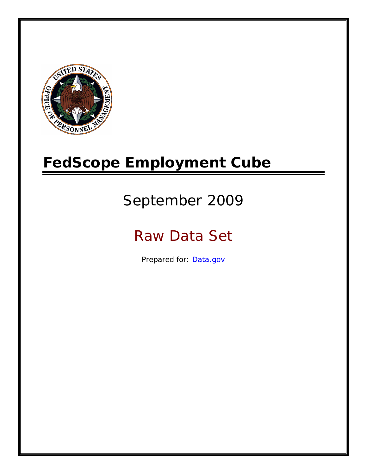

# **FedScope Employment Cube**

# September 2009

# Raw Data Set

Prepared for: [Data.gov](http://www.data.gov/)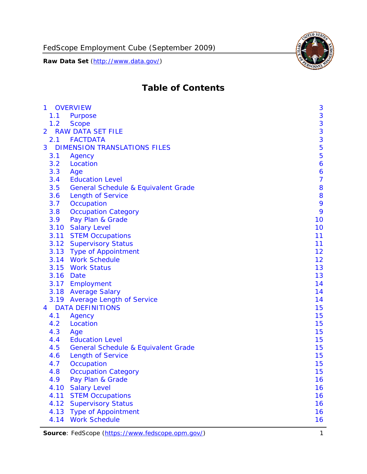

# **Table of Contents**

| $\mathbf{1}$ | <b>OVERVIEW</b>                                | 3              |
|--------------|------------------------------------------------|----------------|
| 1.1          | Purpose                                        | 3              |
| 1.2          | <b>Scope</b>                                   | 3              |
| 2            | <b>RAW DATA SET FILE</b>                       | 3              |
| 2.1          | <b>FACTDATA</b>                                | 3              |
| 3            | <b>DIMENSION TRANSLATIONS FILES</b>            | 5              |
| 3.1          | Agency                                         | 5              |
| 3.2          | Location                                       | 6              |
| 3.3          | Age                                            | 6              |
| 3.4          | <b>Education Level</b>                         | $\overline{7}$ |
| 3.5          | <b>General Schedule &amp; Equivalent Grade</b> | 8              |
| 3.6          | <b>Length of Service</b>                       | 8              |
| 3.7          | Occupation                                     | 9              |
| 3.8          | <b>Occupation Category</b>                     | 9              |
| 3.9          | Pay Plan & Grade                               | 10             |
| 3.10         | <b>Salary Level</b>                            | 10             |
|              | 3.11 STEM Occupations                          | 11             |
|              | 3.12 Supervisory Status                        | 11             |
|              | 3.13 Type of Appointment                       | 12             |
|              | 3.14 Work Schedule                             | 12             |
| 3.15         | <b>Work Status</b>                             | 13             |
|              | 3.16 Date                                      | 13             |
|              | 3.17 Employment                                | 14             |
|              | 3.18 Average Salary                            | 14             |
|              | 3.19 Average Length of Service                 | 14             |
| 4            | <b>DATA DEFINITIONS</b>                        | 15             |
| 4.1          | Agency                                         | 15             |
| 4.2          | Location                                       | 15             |
| 4.3          | Age                                            | 15             |
| 4.4          | <b>Education Level</b>                         | 15             |
| 4.5          | <b>General Schedule &amp; Equivalent Grade</b> | 15             |
| 4.6          | <b>Length of Service</b>                       | 15             |
| 4.7          | Occupation                                     | 15             |
| 4.8          | <b>Occupation Category</b>                     | 15             |
| 4.9          | Pay Plan & Grade                               | 16             |
| 4.10         | <b>Salary Level</b>                            | 16             |
| 4.11         | <b>STEM Occupations</b>                        | 16             |
| 4.12         | <b>Supervisory Status</b>                      | 16             |
| 4.13         | <b>Type of Appointment</b>                     | 16             |
| 4.14         | <b>Work Schedule</b>                           | 16             |

**Source**: FedScope (https://www.fedscope.opm.gov/) 1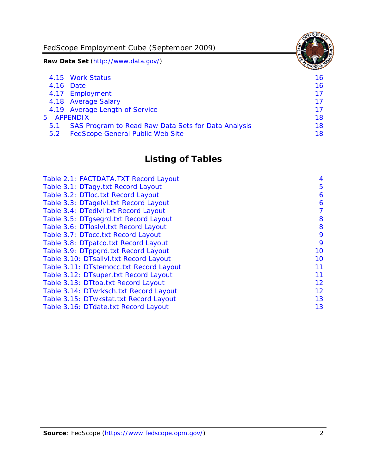FedScope Employment Cube (September 2009)

**Raw Data Set** (http://www.data.gov/)

|               | 4.15 Work Status                                    | 16 |
|---------------|-----------------------------------------------------|----|
|               | 4.16 Date                                           | 16 |
|               | 4.17 Employment                                     | 17 |
|               | 4.18 Average Salary                                 | 17 |
|               | 4.19 Average Length of Service                      | 17 |
|               | 5 APPENDIX                                          | 18 |
| 5.1           | SAS Program to Read Raw Data Sets for Data Analysis | 18 |
| $5.2^{\circ}$ | <b>FedScope General Public Web Site</b>             | 18 |

# **Listing of Tables**

| Table 2.1: FACTDATA.TXT Record Layout   | 4  |
|-----------------------------------------|----|
| Table 3.1: DTagy.txt Record Layout      | 5  |
| Table 3.2: DTloc.txt Record Layout      | 6  |
| Table 3.3: DTagelvl.txt Record Layout   | 6  |
| Table 3.4: DTedlvl.txt Record Layout    | 7  |
| Table 3.5: DTgsegrd.txt Record Layout   | 8  |
| Table 3.6: DTIoslyl.txt Record Layout   | 8  |
| Table 3.7: DTocc.txt Record Layout      | 9  |
| Table 3.8: DTpatco.txt Record Layout    | 9  |
| Table 3.9: DTppgrd.txt Record Layout    | 10 |
| Table 3.10: DTsallvl.txt Record Layout  | 10 |
| Table 3.11: DTstemocc.txt Record Layout | 11 |
| Table 3.12: DTsuper.txt Record Layout   | 11 |
| Table 3.13: DTtoa.txt Record Layout     | 12 |
| Table 3.14: DTwrksch.txt Record Layout  | 12 |
| Table 3.15: DTwkstat.txt Record Layout  | 13 |
| Table 3.16: DTdate.txt Record Layout    | 13 |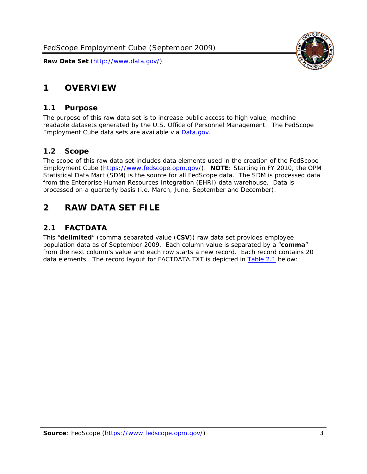<span id="page-3-0"></span>

#### *1.1 Purpose*

<span id="page-3-1"></span>The purpose of this raw data set is to increase public access to high value, machine readable datasets generated by the U.S. Office of Personnel Management. The FedScope Employment Cube data sets are available via [Data.gov](http://www.data.gov/).

## <span id="page-3-2"></span>*1.2 Scope*

The scope of this raw data set includes data elements used in the creation of the FedScope Employment Cube [\(https://www.fedscope.opm.gov/\)](https://www.fedscope.opm.gov/). **NOTE**: Starting in FY 2010, the OPM Statistical Data Mart (SDM) is the source for all FedScope data. The SDM is processed data from the Enterprise Human Resources Integration (EHRI) data warehouse. Data is processed on a quarterly basis (i.e. March, June, September and December).

# <span id="page-3-3"></span>**2 RAW DATA SET FILE**

## <span id="page-3-4"></span>*2.1 FACTDATA*

This "**delimited**" (comma separated value (**CSV**)) raw data set provides employee population data as of September 2009. Each column value is separated by a "**comma**" from the next column's value and each row starts a new record. Each record contains 20 data elements. The record layout for FACTDATA.TXT is depicted in [Table 2.1](#page-4-1) below:

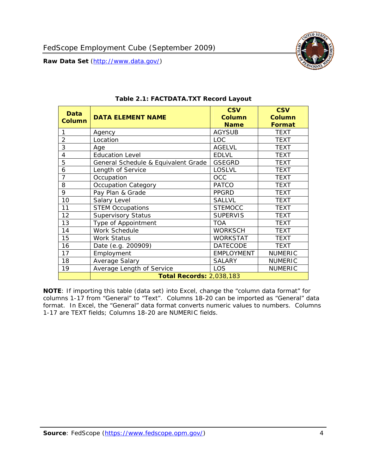<span id="page-4-1"></span><span id="page-4-0"></span>

**NOTE**: If importing this table (data set) into Excel, change the "column data format" for columns 1-17 from "General" to "Text". Columns 18-20 can be imported as "General" data format. In Excel, the "General" data format converts numeric values to numbers. Columns 1-17 are TEXT fields; Columns 18-20 are NUMERIC fields.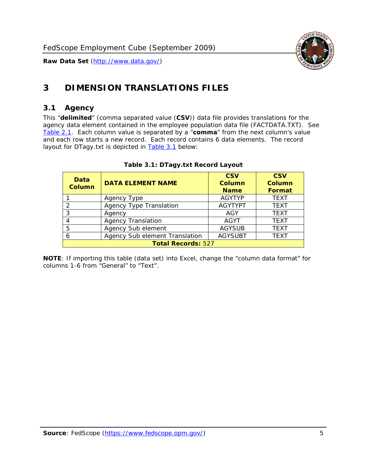

# <span id="page-5-0"></span>**3 DIMENSION TRANSLATIONS FILES**

#### <span id="page-5-1"></span>*3.1 Agency*

<span id="page-5-3"></span><span id="page-5-2"></span>This "**delimited**" (comma separated value (**CSV**)) data file provides translations for the agency data element contained in the employee population data file (FACTDATA.TXT). See [Table 2.1.](#page-4-1) Each column value is separated by a "**comma**" from the next column's value and each row starts a new record. Each record contains 6 data elements. The record layout for DTagy.txt is depicted in **Table 3.1** below:

| Data<br>Column            | <b>DATA ELEMENT NAME</b>       | <b>CSV</b><br><b>Column</b><br><b>Name</b> | <b>CSV</b><br>Column<br><b>Format</b> |  |
|---------------------------|--------------------------------|--------------------------------------------|---------------------------------------|--|
|                           | Agency Type                    | <b>AGYTYP</b>                              | <b>TEXT</b>                           |  |
|                           | <b>Agency Type Translation</b> | <b>AGYTYPT</b>                             | <b>TEXT</b>                           |  |
|                           | Agency                         | AGY                                        | <b>TEXT</b>                           |  |
|                           | <b>Agency Translation</b>      | <b>AGYT</b>                                | <b>TEXT</b>                           |  |
| 5                         | Agency Sub element             | <b>AGYSUB</b>                              | <b>TEXT</b>                           |  |
|                           | Agency Sub element Translation | <b>AGYSUBT</b>                             | <b>TEXT</b>                           |  |
| <b>Total Records: 527</b> |                                |                                            |                                       |  |

#### **Table 3.1: DTagy.txt Record Layout**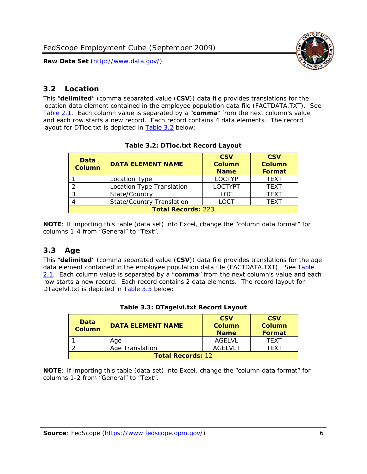

#### <span id="page-6-0"></span>*3.2 Location*

<span id="page-6-4"></span><span id="page-6-2"></span>This "**delimited**" (comma separated value (**CSV**)) data file provides translations for the location data element contained in the employee population data file (FACTDATA.TXT). See [Table 2.1.](#page-4-1) Each column value is separated by a "**comma**" from the next column's value and each row starts a new record. Each record contains 4 data elements. The record layout for DTloc.txt is depicted in [Table 3.2](#page-6-4) below:

| Data<br><b>Column</b>     | <b>DATA ELEMENT NAME</b>         | <b>CSV</b><br>Column<br><b>Name</b> | <b>CSV</b><br><b>Column</b><br><b>Format</b> |  |
|---------------------------|----------------------------------|-------------------------------------|----------------------------------------------|--|
|                           | Location Type                    | <b>LOCTYP</b>                       | <b>TEXT</b>                                  |  |
|                           | Location Type Translation        | <b>LOCTYPT</b>                      | <b>TEXT</b>                                  |  |
| ົ                         | State/Country                    | <b>LOC</b>                          | <b>TFXT</b>                                  |  |
|                           | <b>State/Country Translation</b> | LOCT                                | <b>TFXT</b>                                  |  |
| <b>Total Records: 223</b> |                                  |                                     |                                              |  |

#### **Table 3.2: DTloc.txt Record Layout**

**NOTE**: If importing this table (data set) into Excel, change the "column data format" for columns 1-4 from "General" to "Text".

#### <span id="page-6-1"></span>*3.3 Age*

<span id="page-6-5"></span><span id="page-6-3"></span>This "**delimited**" (comma separated value (**CSV**)) data file provides translations for the age data element contained in the employee population data file (FACTDATA.TXT). See [Table](#page-4-1) [2.1](#page-4-1). Each column value is separated by a "**comma**" from the next column's value and each row starts a new record. Each record contains 2 data elements. The record layout for DTagelvl.txt is depicted in [Table 3.3](#page-6-5) below:

| Data<br><b>Column</b>    | <b>DATA ELEMENT NAME</b> | <b>CSV</b><br>Column<br><b>Name</b> | <b>CSV</b><br>Column<br>Format |  |
|--------------------------|--------------------------|-------------------------------------|--------------------------------|--|
|                          | Aae                      | AGELVL                              | TFXT                           |  |
|                          | Age Translation          | AGFI VI T                           | TFXT                           |  |
| <b>Total Records: 12</b> |                          |                                     |                                |  |

|  |  | Table 3.3: DTagelvl.txt Record Layout |  |
|--|--|---------------------------------------|--|
|  |  |                                       |  |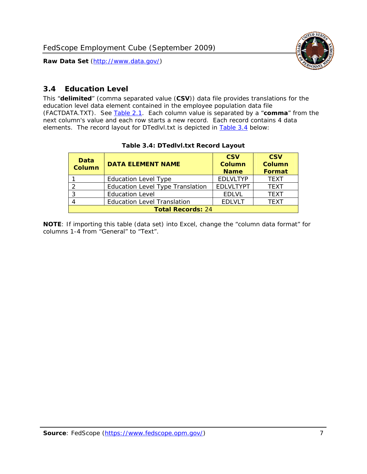

### <span id="page-7-0"></span>*3.4 Education Level*

<span id="page-7-2"></span><span id="page-7-1"></span>This "**delimited**" (comma separated value (**CSV**)) data file provides translations for the education level data element contained in the employee population data file (FACTDATA.TXT). See [Table 2.1](#page-4-1). Each column value is separated by a "**comma**" from the next column's value and each row starts a new record. Each record contains 4 data elements. The record layout for DTedlvl.txt is depicted in [Table 3.4](#page-7-2) below:

| Data<br><b>Column</b>    | <b>DATA ELEMENT NAME</b>                | <b>CSV</b><br><b>Column</b><br><b>Name</b> | <b>CSV</b><br><b>Column</b><br><b>Format</b> |  |  |
|--------------------------|-----------------------------------------|--------------------------------------------|----------------------------------------------|--|--|
|                          | <b>Education Level Type</b>             | <b>EDLVLTYP</b>                            | <b>TEXT</b>                                  |  |  |
|                          | <b>Education Level Type Translation</b> | <b>EDLVLTYPT</b>                           | <b>TEXT</b>                                  |  |  |
| <u>ົ</u>                 | <b>Education Level</b>                  | <b>EDLVL</b>                               | <b>TEXT</b>                                  |  |  |
|                          | <b>Education Level Translation</b>      | <b>EDLVLT</b>                              | <b>TEXT</b>                                  |  |  |
| <b>Total Records: 24</b> |                                         |                                            |                                              |  |  |

#### **Table 3.4: DTedlvl.txt Record Layout**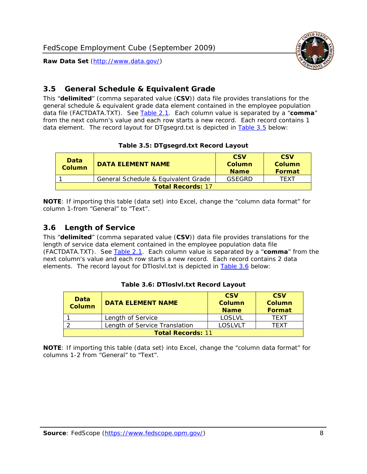<span id="page-8-0"></span>

This "**delimited**" (comma separated value (**CSV**)) data file provides translations for the general schedule & equivalent grade data element contained in the employee population data file (FACTDATA.TXT). See [Table 2.1](#page-4-1). Each column value is separated by a "**comma**" from the next column's value and each row starts a new record. Each record contains 1 data element. The record layout for DTgsegrd.txt is depicted in [Table 3.5](#page-8-4) below:

#### **Table 3.5: DTgsegrd.txt Record Layout**

<span id="page-8-4"></span><span id="page-8-2"></span>

| Data<br>Column | <b>DATA ELEMENT NAME</b>            |        | <b>CSV</b><br>Column<br><b>Format</b> |  |  |  |
|----------------|-------------------------------------|--------|---------------------------------------|--|--|--|
|                | General Schedule & Equivalent Grade | GSFGRD | <b>TFXT</b>                           |  |  |  |
|                | <b>Total Records: 17</b>            |        |                                       |  |  |  |

**NOTE**: If importing this table (data set) into Excel, change the "column data format" for column 1-from "General" to "Text".

#### <span id="page-8-1"></span>*3.6 Length of Service*

<span id="page-8-5"></span><span id="page-8-3"></span>This "**delimited**" (comma separated value (**CSV**)) data file provides translations for the length of service data element contained in the employee population data file (FACTDATA.TXT). See [Table 2.1](#page-4-1). Each column value is separated by a "**comma**" from the next column's value and each row starts a new record. Each record contains 2 data elements. The record layout for DTloslvl.txt is depicted in [Table 3.6](#page-8-5) below:

| Data<br><b>Column</b>    | <b>DATA ELEMENT NAME</b>      | <b>CSV</b><br><b>Column</b><br><b>Name</b> | <b>CSV</b><br>Column<br>Format |  |  |
|--------------------------|-------------------------------|--------------------------------------------|--------------------------------|--|--|
|                          | Length of Service             | LOSLVL                                     | TFXT                           |  |  |
|                          | Length of Service Translation | LOSI VLT                                   | TFXT                           |  |  |
| <b>Total Records: 11</b> |                               |                                            |                                |  |  |

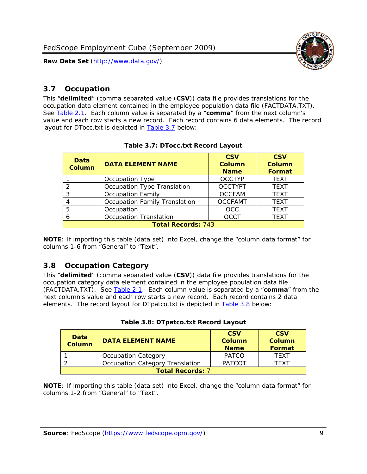

#### <span id="page-9-0"></span>*3.7 Occupation*

<span id="page-9-4"></span>This "**delimited**" (comma separated value (**CSV**)) data file provides translations for the occupation data element contained in the employee population data file (FACTDATA.TXT). See [Table 2.1](#page-4-1). Each column value is separated by a "**comma**" from the next column's value and each row starts a new record. Each record contains 6 data elements. The record layout for DTocc.txt is depicted in [Table 3.7](#page-9-4) below:

<span id="page-9-2"></span>

| Data<br><b>Column</b>     | <b>DATA ELEMENT NAME</b>             | <b>CSV</b><br>Column<br><b>Name</b> | <b>CSV</b><br>Column<br><b>Format</b> |  |  |
|---------------------------|--------------------------------------|-------------------------------------|---------------------------------------|--|--|
|                           | Occupation Type                      | <b>OCCTYP</b>                       | <b>TEXT</b>                           |  |  |
|                           | Occupation Type Translation          | <b>OCCTYPT</b>                      | <b>TEXT</b>                           |  |  |
| ર                         | <b>Occupation Family</b>             | <b>OCCFAM</b>                       | <b>TEXT</b>                           |  |  |
|                           | <b>Occupation Family Translation</b> | <b>OCCFAMT</b>                      | <b>TEXT</b>                           |  |  |
| 5                         | Occupation                           | <b>OCC</b>                          | <b>TEXT</b>                           |  |  |
|                           | <b>Occupation Translation</b>        | <b>OCCT</b>                         | <b>TEXT</b>                           |  |  |
| <b>Total Records: 743</b> |                                      |                                     |                                       |  |  |

#### **Table 3.7: DTocc.txt Record Layout**

**NOTE**: If importing this table (data set) into Excel, change the "column data format" for columns 1-6 from "General" to "Text".

#### <span id="page-9-1"></span>*3.8 Occupation Category*

<span id="page-9-5"></span>This "**delimited**" (comma separated value (**CSV**)) data file provides translations for the occupation category data element contained in the employee population data file (FACTDATA.TXT). See [Table 2.1](#page-4-1). Each column value is separated by a "**comma**" from the next column's value and each row starts a new record. Each record contains 2 data elements. The record layout for DTpatco.txt is depicted in [Table 3.8](#page-9-5) below:

<span id="page-9-3"></span>

| Data<br><b>Column</b>   | <b>DATA ELEMENT NAME</b>        | <b>CSV</b><br>Column<br><b>Name</b> | <b>CSV</b><br>Column<br>Format |
|-------------------------|---------------------------------|-------------------------------------|--------------------------------|
|                         | <b>Occupation Category</b>      | <b>PATCO</b>                        | <b>TFXT</b>                    |
|                         | Occupation Category Translation | <b>PATCOT</b>                       | TFXT                           |
| <b>Total Records: 7</b> |                                 |                                     |                                |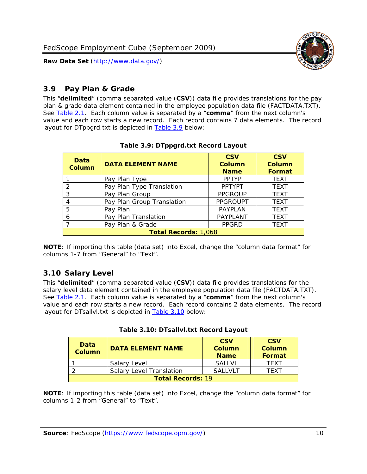

#### <span id="page-10-0"></span>*3.9 Pay Plan & Grade*

<span id="page-10-4"></span>This "**delimited**" (comma separated value (**CSV**)) data file provides translations for the pay plan & grade data element contained in the employee population data file (FACTDATA.TXT). See [Table 2.1](#page-4-1). Each column value is separated by a "**comma**" from the next column's value and each row starts a new record. Each record contains 7 data elements. The record layout for DTppgrd.txt is depicted in **Table 3.9** below:

<span id="page-10-2"></span>

| Data<br>Column              | <b>DATA ELEMENT NAME</b>   | <b>CSV</b><br>Column<br><b>Name</b> | <b>CSV</b><br>Column<br><b>Format</b> |  |
|-----------------------------|----------------------------|-------------------------------------|---------------------------------------|--|
|                             | Pay Plan Type              | <b>PPTYP</b>                        | <b>TEXT</b>                           |  |
| $\mathcal{P}$               | Pay Plan Type Translation  | <b>PPTYPT</b>                       | <b>TEXT</b>                           |  |
| 3                           | Pay Plan Group             | <b>PPGROUP</b>                      | <b>TEXT</b>                           |  |
|                             | Pay Plan Group Translation | <b>PPGROUPT</b>                     | <b>TEXT</b>                           |  |
| 5                           | Pay Plan                   | <b>PAYPLAN</b>                      | <b>TEXT</b>                           |  |
| 6                           | Pay Plan Translation       | PAYPLANT                            | <b>TEXT</b>                           |  |
|                             | Pay Plan & Grade           | <b>PPGRD</b>                        | <b>TEXT</b>                           |  |
| <b>Total Records: 1,068</b> |                            |                                     |                                       |  |

#### **Table 3.9: DTppgrd.txt Record Layout**

**NOTE**: If importing this table (data set) into Excel, change the "column data format" for columns 1-7 from "General" to "Text".

## <span id="page-10-1"></span>*3.10 Salary Level*

<span id="page-10-5"></span><span id="page-10-3"></span>This "**delimited**" (comma separated value (**CSV**)) data file provides translations for the salary level data element contained in the employee population data file (FACTDATA.TXT). See [Table 2.1](#page-4-1). Each column value is separated by a "**comma**" from the next column's value and each row starts a new record. Each record contains 2 data elements. The record layout for DTsallvl.txt is depicted in [Table 3.10](#page-10-5) below:

| <b>Data</b><br>Column    | <b>DATA ELEMENT NAME</b>        | <b>CSV</b><br>Column<br><b>Name</b> | <b>CSV</b><br>Column<br><b>Format</b> |
|--------------------------|---------------------------------|-------------------------------------|---------------------------------------|
|                          | Salary Level                    | <b>SALLVL</b>                       | TFXT                                  |
|                          | <b>Salary Level Translation</b> | SAI I VI T                          | TEXT                                  |
| <b>Total Records: 19</b> |                                 |                                     |                                       |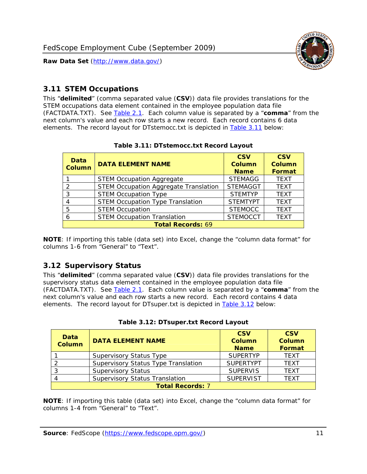

#### <span id="page-11-0"></span>*3.11 STEM Occupations*

<span id="page-11-4"></span>This "**delimited**" (comma separated value (**CSV**)) data file provides translations for the STEM occupations data element contained in the employee population data file (FACTDATA.TXT). See [Table 2.1](#page-4-1). Each column value is separated by a "**comma**" from the next column's value and each row starts a new record. Each record contains 6 data elements. The record layout for DTstemocc.txt is depicted in [Table 3.11](#page-11-4) below:

<span id="page-11-2"></span>

| <b>Data</b><br><b>Column</b> | <b>DATA ELEMENT NAME</b>                     | <b>CSV</b><br>Column<br><b>Name</b> | <b>CSV</b><br><b>Column</b><br><b>Format</b> |
|------------------------------|----------------------------------------------|-------------------------------------|----------------------------------------------|
|                              | <b>STEM Occupation Aggregate</b>             | <b>STEMAGG</b>                      | <b>TEXT</b>                                  |
|                              | <b>STEM Occupation Aggregate Translation</b> | <b>STEMAGGT</b>                     | <b>TEXT</b>                                  |
| 3                            | <b>STEM Occupation Type</b>                  | <b>STEMTYP</b>                      | <b>TEXT</b>                                  |
|                              | <b>STEM Occupation Type Translation</b>      | <b>STEMTYPT</b>                     | <b>TEXT</b>                                  |
| 5                            | <b>STEM Occupation</b>                       | <b>STEMOCC</b>                      | <b>TEXT</b>                                  |
|                              | <b>STEM Occupation Translation</b>           | <b>STEMOCCT</b>                     | <b>TEXT</b>                                  |
|                              | <b>Total Records: 69</b>                     |                                     |                                              |

#### **Table 3.11: DTstemocc.txt Record Layout**

**NOTE**: If importing this table (data set) into Excel, change the "column data format" for columns 1-6 from "General" to "Text".

# <span id="page-11-1"></span>*3.12 Supervisory Status*

This "**delimited**" (comma separated value (**CSV**)) data file provides translations for the supervisory status data element contained in the employee population data file (FACTDATA.TXT). See [Table 2.1](#page-4-1). Each column value is separated by a "**comma**" from the next column's value and each row starts a new record. Each record contains 4 data elements. The record layout for DTsuper.txt is depicted in [Table 3.12](#page-11-5) below:

<span id="page-11-5"></span><span id="page-11-3"></span>

| Data<br><b>Column</b>   | <b>DATA ELEMENT NAME</b>              | <b>CSV</b><br>Column<br><b>Name</b> | <b>CSV</b><br>Column<br>Format |  |
|-------------------------|---------------------------------------|-------------------------------------|--------------------------------|--|
|                         | <b>Supervisory Status Type</b>        | <b>SUPFRTYP</b>                     | <b>TEXT</b>                    |  |
|                         | Supervisory Status Type Translation   | <b>SUPERTYPT</b>                    | <b>TEXT</b>                    |  |
|                         | <b>Supervisory Status</b>             | <b>SUPERVIS</b>                     | <b>TEXT</b>                    |  |
|                         | <b>Supervisory Status Translation</b> | <b>SUPERVIST</b>                    | <b>TEXT</b>                    |  |
| <b>Total Records: 7</b> |                                       |                                     |                                |  |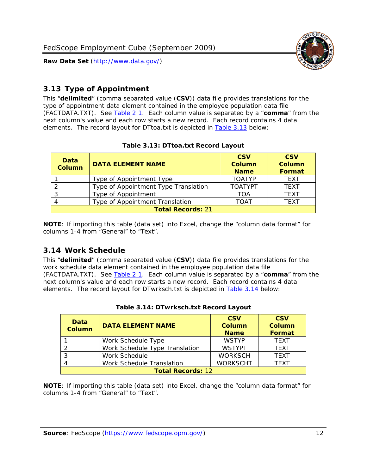

### <span id="page-12-0"></span>*3.13 Type of Appointment*

This "**delimited**" (comma separated value (**CSV**)) data file provides translations for the type of appointment data element contained in the employee population data file (FACTDATA.TXT). See [Table 2.1](#page-4-1). Each column value is separated by a "**comma**" from the next column's value and each row starts a new record. Each record contains 4 data elements. The record layout for DTtoa.txt is depicted in [Table 3.13](#page-12-4) below:

<span id="page-12-4"></span><span id="page-12-2"></span>

| Data<br><b>Column</b>    | <b>DATA ELEMENT NAME</b>             | <b>CSV</b><br><b>Column</b><br><b>Name</b> | <b>CSV</b><br><b>Column</b><br><b>Format</b> |  |
|--------------------------|--------------------------------------|--------------------------------------------|----------------------------------------------|--|
|                          | Type of Appointment Type             | <b>TOATYP</b>                              | <b>TFXT</b>                                  |  |
|                          | Type of Appointment Type Translation | <b>TOATYPT</b>                             | <b>TEXT</b>                                  |  |
|                          | Type of Appointment                  | <b>TOA</b>                                 | <b>TEXT</b>                                  |  |
|                          | Type of Appointment Translation      | <b>TOAT</b>                                | <b>TFXT</b>                                  |  |
| <b>Total Records: 21</b> |                                      |                                            |                                              |  |

#### **Table 3.13: DTtoa.txt Record Layout**

**NOTE**: If importing this table (data set) into Excel, change the "column data format" for columns 1-4 from "General" to "Text".

#### <span id="page-12-1"></span>*3.14 Work Schedule*

<span id="page-12-5"></span>This "**delimited**" (comma separated value (**CSV**)) data file provides translations for the work schedule data element contained in the employee population data file (FACTDATA.TXT). See [Table 2.1](#page-4-1). Each column value is separated by a "**comma**" from the next column's value and each row starts a new record. Each record contains 4 data elements. The record layout for DTwrksch.txt is depicted in [Table 3.14](#page-12-5) below:

<span id="page-12-3"></span>

| Data<br>Column           | <b>DATA ELEMENT NAME</b>       | <b>CSV</b><br><b>Column</b><br><b>Name</b> | <b>CSV</b><br><b>Column</b><br>Format |
|--------------------------|--------------------------------|--------------------------------------------|---------------------------------------|
|                          | Work Schedule Type             | <b>WSTYP</b>                               | <b>TEXT</b>                           |
| 2                        | Work Schedule Type Translation | <b>WSTYPT</b>                              | <b>TFXT</b>                           |
| 3                        | Work Schedule                  | <b>WORKSCH</b>                             | <b>TFXT</b>                           |
|                          | Work Schedule Translation      | <b>WORKSCHT</b>                            | <b>TFXT</b>                           |
| <b>Total Records: 12</b> |                                |                                            |                                       |

|  | Table 3.14: DTwrksch.txt Record Layout |  |
|--|----------------------------------------|--|
|  |                                        |  |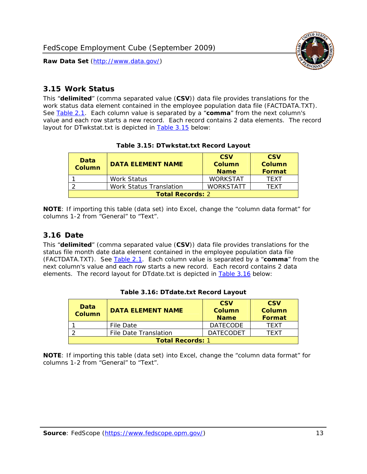

#### <span id="page-13-0"></span>*3.15 Work Status*

<span id="page-13-4"></span><span id="page-13-2"></span>This "**delimited**" (comma separated value (**CSV**)) data file provides translations for the work status data element contained in the employee population data file (FACTDATA.TXT). See [Table 2.1](#page-4-1). Each column value is separated by a "**comma**" from the next column's value and each row starts a new record. Each record contains 2 data elements. The record layout for DTwkstat.txt is depicted in [Table 3.15](#page-13-4) below:

| Data<br><b>Column</b>   | <b>DATA ELEMENT NAME</b>       | <b>CSV</b><br>Column<br><b>Name</b> | <b>CSV</b><br>Column<br><b>Format</b> |
|-------------------------|--------------------------------|-------------------------------------|---------------------------------------|
|                         | <b>Work Status</b>             | <b>WORKSTAT</b>                     | TFXT                                  |
|                         | <b>Work Status Translation</b> | <b>WORKSTATT</b>                    | TFXT                                  |
| <b>Total Records: 2</b> |                                |                                     |                                       |

#### **Table 3.15: DTwkstat.txt Record Layout**

**NOTE**: If importing this table (data set) into Excel, change the "column data format" for columns 1-2 from "General" to "Text".

#### <span id="page-13-1"></span>*3.16 Date*

<span id="page-13-5"></span><span id="page-13-3"></span>This "**delimited**" (comma separated value (**CSV**)) data file provides translations for the status file month date data element contained in the employee population data file (FACTDATA.TXT). See [Table 2.1](#page-4-1). Each column value is separated by a "**comma**" from the next column's value and each row starts a new record. Each record contains 2 data elements. The record layout for DTdate.txt is depicted in [Table 3.16](#page-13-5) below:

| Data<br><b>Column</b>   | <b>DATA ELEMENT NAME</b> | <b>CSV</b><br>Column<br><b>Name</b> | <b>CSV</b><br>Column<br><b>Format</b> |
|-------------------------|--------------------------|-------------------------------------|---------------------------------------|
|                         | File Date                | <b>DATECODE</b>                     | TFXT                                  |
|                         | File Date Translation    | <b>DATECODET</b>                    | TFXT                                  |
| <b>Total Records: 1</b> |                          |                                     |                                       |

**Table 3.16: DTdate.txt Record Layout**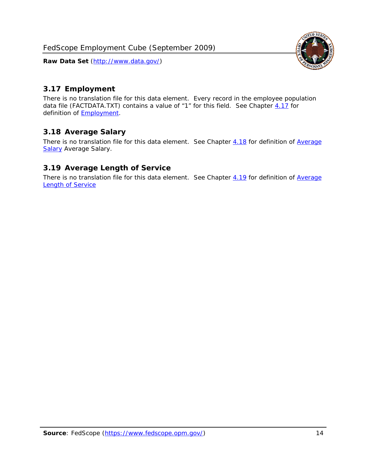

### <span id="page-14-0"></span>*3.17 Employment*

There is no translation file for this data element. Every record in the employee population data file (FACTDATA.TXT) contains a value of "1" for this field. See Chapter [4.17](#page-16-8) for definition of **Employment**.

#### <span id="page-14-1"></span>*3.18 Average Salary*

There is no translation file for this data element. See Chapter [4.18](#page-17-1) for definition of [Average](#page-17-1) **[Salary](#page-17-1) [Average Salary.](#page-17-1)** 

#### <span id="page-14-2"></span>*3.19 Average Length of Service*

There is no translation file for this data element. See Chapter [4.19](#page-17-2) for definition of [Average](#page-17-2) Length of Service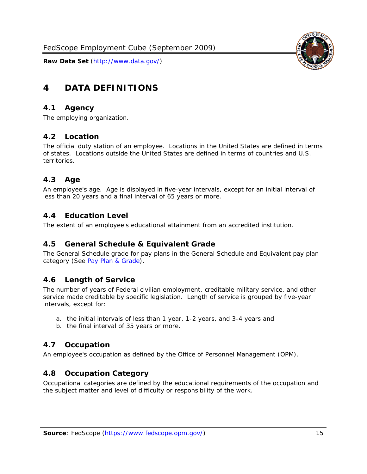

# <span id="page-15-0"></span>**4 DATA DEFINITIONS**

#### <span id="page-15-1"></span>*4.1 Agency*

The employing organization.

#### <span id="page-15-2"></span>*4.2 Location*

The official duty station of an employee. Locations in the United States are defined in terms of states. Locations outside the United States are defined in terms of countries and U.S. territories.

#### <span id="page-15-3"></span>*4.3 Age*

An employee's age. Age is displayed in five-year intervals, except for an initial interval of less than 20 years and a final interval of 65 years or more.

#### <span id="page-15-4"></span>*4.4 Education Level*

The extent of an employee's educational attainment from an accredited institution.

#### <span id="page-15-5"></span>*4.5 General Schedule & Equivalent Grade*

The General Schedule grade for pay plans in the General Schedule and Equivalent pay plan category (See [Pay Plan & Grade](#page-16-0)).

#### <span id="page-15-6"></span>*4.6 Length of Service*

The number of years of Federal civilian employment, creditable military service, and other service made creditable by specific legislation. Length of service is grouped by five-year intervals, except for:

- a. the initial intervals of less than 1 year, 1-2 years, and 3-4 years and
- b. the final interval of 35 years or more.

#### <span id="page-15-7"></span>*4.7 Occupation*

An employee's occupation as defined by the Office of Personnel Management (OPM).

#### <span id="page-15-8"></span>*4.8 Occupation Category*

Occupational categories are defined by the educational requirements of the occupation and the subject matter and level of difficulty or responsibility of the work.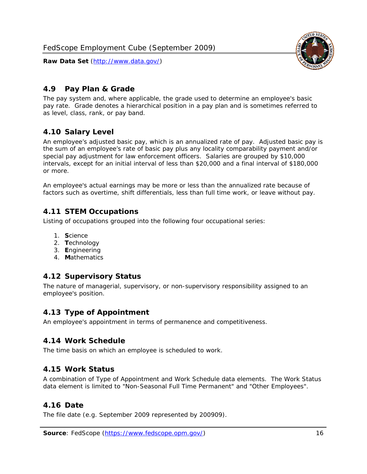<span id="page-16-0"></span>

The pay system and, where applicable, the grade used to determine an employee's basic pay rate. Grade denotes a hierarchical position in a pay plan and is sometimes referred to as level, class, rank, or pay band.

# <span id="page-16-1"></span>*4.10 Salary Level*

An employee's adjusted basic pay, which is an annualized rate of pay. Adjusted basic pay is the sum of an employee's rate of basic pay plus any locality comparability payment and/or special pay adjustment for law enforcement officers. Salaries are grouped by \$10,000 intervals, except for an initial interval of less than \$20,000 and a final interval of \$180,000 or more.

An employee's actual earnings may be more or less than the annualized rate because of factors such as overtime, shift differentials, less than full time work, or leave without pay.

## <span id="page-16-2"></span>*4.11 STEM Occupations*

Listing of occupations grouped into the following four occupational series:

- 1. **S**cience
- 2. **T**echnology
- 3. **E**ngineering
- 4. **M**athematics

#### <span id="page-16-3"></span>*4.12 Supervisory Status*

The nature of managerial, supervisory, or non-supervisory responsibility assigned to an employee's position.

#### <span id="page-16-4"></span>*4.13 Type of Appointment*

An employee's appointment in terms of permanence and competitiveness.

#### <span id="page-16-5"></span>*4.14 Work Schedule*

The time basis on which an employee is scheduled to work.

#### <span id="page-16-6"></span>*4.15 Work Status*

A combination of Type of Appointment and Work Schedule data elements. The Work Status data element is limited to "Non-Seasonal Full Time Permanent" and "Other Employees".

#### <span id="page-16-7"></span>*4.16 Date*

<span id="page-16-8"></span>The file date (e.g. September 2009 represented by 200909).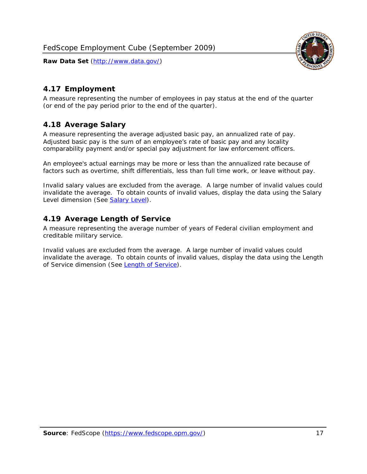

### <span id="page-17-0"></span>*4.17 Employment*

A measure representing the number of employees in pay status at the end of the quarter (or end of the pay period prior to the end of the quarter).

#### <span id="page-17-1"></span>*4.18 Average Salary*

A measure representing the average adjusted basic pay, an annualized rate of pay. Adjusted basic pay is the sum of an employee's rate of basic pay and any locality comparability payment and/or special pay adjustment for law enforcement officers.

An employee's actual earnings may be more or less than the annualized rate because of factors such as overtime, shift differentials, less than full time work, or leave without pay.

Invalid salary values are excluded from the average. A large number of invalid values could invalidate the average. To obtain counts of invalid values, display the data using the Salary Level dimension (See [Salary Level\)](#page-16-1).

#### <span id="page-17-2"></span>*4.19 Average Length of Service*

A measure representing the average number of years of Federal civilian employment and creditable military service.

Invalid values are excluded from the average. A large number of invalid values could invalidate the average. To obtain counts of invalid values, display the data using the Length of Service dimension (See [Length of Service](#page-15-6)).